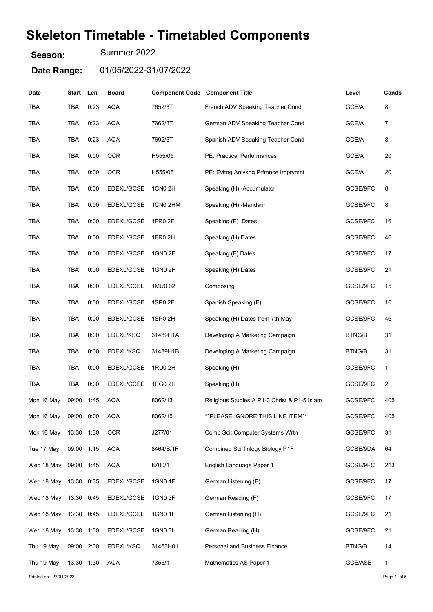# Skeleton Timetable - Timetabled Components

Season: Summer 2022

Date Range: 01/05/2022-31/07/2022

| Date                  | Start      | Len  | <b>Board</b> | <b>Component Code Component Title</b> |                                              | Level         | Cands |
|-----------------------|------------|------|--------------|---------------------------------------|----------------------------------------------|---------------|-------|
| <b>TBA</b>            | TBA        | 0:23 | <b>AQA</b>   | 7652/3T                               | French ADV Speaking Teacher Cond             | GCE/A         | 8     |
| <b>TBA</b>            | TBA        | 0:23 | <b>AQA</b>   | 7662/3T                               | German ADV Speaking Teacher Cond             | GCE/A         | 7     |
| <b>TBA</b>            | TBA        | 0:23 | <b>AQA</b>   | 7692/3T                               | Spanish ADV Speaking Teacher Cond            | GCE/A         | 8     |
| <b>TBA</b>            | <b>TBA</b> | 0:00 | <b>OCR</b>   | H555/05                               | PE: Practical Performances                   | GCE/A         | 20    |
| <b>TBA</b>            | <b>TBA</b> | 0:00 | <b>OCR</b>   | H555/06                               | PE: Evitng Anlysng Prfmnce Imprvmnt          | GCE/A         | 20    |
| <b>TBA</b>            | TBA        | 0:00 | EDEXL/GCSE   | 1CN0 2H                               | Speaking (H) - Accumulator                   | GCSE/9FC      | 8     |
| <b>TBA</b>            | <b>TBA</b> | 0:00 | EDEXL/GCSE   | 1CN0 2HM                              | Speaking (H) -Mandarin                       | GCSE/9FC      | 8     |
| <b>TBA</b>            | TBA        | 0:00 | EDEXL/GCSE   | 1FR0 2F                               | Speaking (F) Dates                           | GCSE/9FC      | 16    |
| <b>TBA</b>            | TBA        | 0:00 | EDEXL/GCSE   | 1FR0 2H                               | Speaking (H) Dates                           | GCSE/9FC      | 46    |
| <b>TBA</b>            | TBA        | 0:00 | EDEXL/GCSE   | 1GN0 2F                               | Speaking (F) Dates                           | GCSE/9FC      | 17    |
| TBA                   | TBA        | 0:00 | EDEXL/GCSE   | 1GN0 2H                               | Speaking (H) Dates                           | GCSE/9FC      | 21    |
| <b>TBA</b>            | TBA        | 0:00 | EDEXL/GCSE   | 1MU0 02                               | Composing                                    | GCSE/9FC      | 15    |
| TBA                   | TBA        | 0:00 | EDEXL/GCSE   | 1SP0 2F                               | Spanish Speaking (F)                         | GCSE/9FC      | 10    |
| TBA                   | TBA        | 0:00 | EDEXL/GCSE   | 1SP0 2H                               | Speaking (H) Dates from 7th May              | GCSE/9FC      | 46    |
| <b>TBA</b>            | TBA        | 0:00 | EDEXL/KSQ    | 31489H1A                              | Developing A Marketing Campaign              | <b>BTNG/B</b> | 31    |
| <b>TBA</b>            | <b>TBA</b> | 0:00 | EDEXL/KSQ    | 31489H1B                              | Developing A Marketing Campaign              | <b>BTNG/B</b> | 31    |
| <b>TBA</b>            | TBA        | 0:00 | EDEXL/GCSE   | 1RU0 2H                               | Speaking (H)                                 | GCSE/9FC      | 1     |
| <b>TBA</b>            | TBA        | 0:00 | EDEXL/GCSE   | 1PG0 2H                               | Speaking (H)                                 | GCSE/9FC      | 2     |
| Mon 16 May            | 09:00 1:45 |      | AQA          | 8062/13                               | Religious Studies A P1-3 Christ & P1-5 Islam | GCSE/9FC      | 405   |
| Mon 16 May 09:00 0:00 |            |      | <b>AQA</b>   | 8062/15                               | ** PLEASE IGNORE THIS LINE ITEM**            | GCSE/9FC      | 405   |
| Mon 16 May            | 13:30 1:30 |      | <b>OCR</b>   | J277/01                               | Comp Sci: Computer Systems Wrtn              | GCSE/9FC      | 31    |
| Tue 17 May            | 09:00 1:15 |      | <b>AQA</b>   | 8464/B/1F                             | Combined Sci Trilogy Biology P1F             | GCSE/9DA      | 64    |
| Wed 18 May            | 09:00 1:45 |      | <b>AQA</b>   | 8700/1                                | English Language Paper 1                     | GCSE/9FC      | 213   |
| Wed 18 May            | 13:30 0:35 |      | EDEXL/GCSE   | 1GN0 1F                               | German Listening (F)                         | GCSE/9FC      | 17    |
| Wed 18 May            | 13:30 0:45 |      | EDEXL/GCSE   | 1GN0 3F                               | German Reading (F)                           | GCSE/9FC      | 17    |
| Wed 18 May            | 13:30 0:45 |      | EDEXL/GCSE   | 1GN0 1H                               | German Listening (H)                         | GCSE/9FC      | 21    |
| Wed 18 May            | 13:30 1:00 |      | EDEXL/GCSE   | 1GN0 3H                               | German Reading (H)                           | GCSE/9FC      | 21    |
| Thu 19 May            | 09:00 2:00 |      | EDEXL/KSQ    | 31463H01                              | <b>Personal and Business Finance</b>         | <b>BTNG/B</b> | 14    |
| Thu 19 May            | 13:30 1:30 |      | <b>AQA</b>   | 7356/1                                | Mathematics AS Paper 1                       | GCE/ASB       | 1     |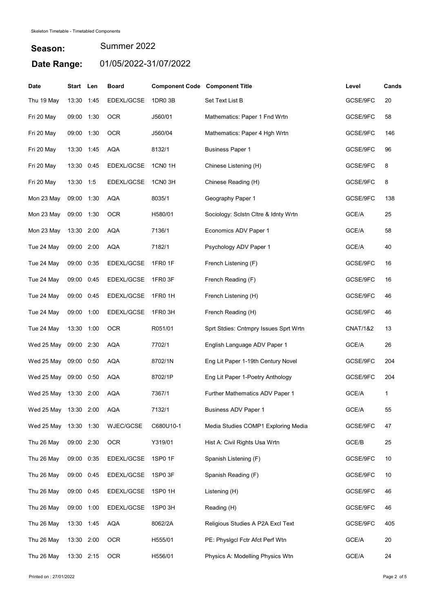| <b>Date</b>           | Start Len  |      | <b>Board</b> | <b>Component Code Component Title</b> |                                       | Level               | Cands |
|-----------------------|------------|------|--------------|---------------------------------------|---------------------------------------|---------------------|-------|
| Thu 19 May            | 13:30      | 1:45 | EDEXL/GCSE   | 1DR0 3B                               | Set Text List B                       | GCSE/9FC            | 20    |
| Fri 20 May            | 09:00 1:30 |      | <b>OCR</b>   | J560/01                               | Mathematics: Paper 1 Fnd Wrtn         | GCSE/9FC            | 58    |
| Fri 20 May            | 09:00 1:30 |      | <b>OCR</b>   | J560/04                               | Mathematics: Paper 4 Hgh Wrtn         | GCSE/9FC            | 146   |
| Fri 20 May            | 13:30 1:45 |      | AQA          | 8132/1                                | <b>Business Paper 1</b>               | GCSE/9FC            | 96    |
| Fri 20 May            | 13:30 0:45 |      | EDEXL/GCSE   | <b>1CN0 1H</b>                        | Chinese Listening (H)                 | GCSE/9FC            | 8     |
| Fri 20 May            | 13:30 1:5  |      | EDEXL/GCSE   | 1CN03H                                | Chinese Reading (H)                   | GCSE/9FC            | 8     |
| Mon 23 May            | 09:00 1:30 |      | <b>AQA</b>   | 8035/1                                | Geography Paper 1                     | GCSE/9FC            | 138   |
| Mon 23 May            | 09:00 1:30 |      | <b>OCR</b>   | H580/01                               | Sociology: Sclstn Cltre & Idnty Wrtn  | GCE/A               | 25    |
| Mon 23 May            | 13:30 2:00 |      | <b>AQA</b>   | 7136/1                                | Economics ADV Paper 1                 | GCE/A               | 58    |
| Tue 24 May            | 09:00 2:00 |      | AQA          | 7182/1                                | Psychology ADV Paper 1                | GCE/A               | 40    |
| Tue 24 May            | 09:00      | 0:35 | EDEXL/GCSE   | <b>1FR0 1F</b>                        | French Listening (F)                  | GCSE/9FC            | 16    |
| Tue 24 May            | 09:00      | 0:45 | EDEXL/GCSE   | 1FR0 3F                               | French Reading (F)                    | GCSE/9FC            | 16    |
| Tue 24 May            | 09:00      | 0:45 | EDEXL/GCSE   | 1FR0 1H                               | French Listening (H)                  | GCSE/9FC            | 46    |
| Tue 24 May            | 09:00      | 1:00 | EDEXL/GCSE   | 1FR0 3H                               | French Reading (H)                    | GCSE/9FC            | 46    |
| Tue 24 May            | 13:30 1:00 |      | <b>OCR</b>   | R051/01                               | Sprt Stdies: Cntmpry Issues Sprt Wrtn | <b>CNAT/1&amp;2</b> | 13    |
| Wed 25 May            | 09:00 2:30 |      | <b>AQA</b>   | 7702/1                                | English Language ADV Paper 1          | GCE/A               | 26    |
| Wed 25 May            | 09:00      | 0:50 | <b>AQA</b>   | 8702/1N                               | Eng Lit Paper 1-19th Century Novel    | GCSE/9FC            | 204   |
| Wed 25 May            | 09:00      | 0:50 | <b>AQA</b>   | 8702/1P                               | Eng Lit Paper 1-Poetry Anthology      | GCSE/9FC            | 204   |
| Wed 25 May            | 13:30      | 2:00 | <b>AQA</b>   | 7367/1                                | Further Mathematics ADV Paper 1       | GCE/A               | 1     |
| Wed 25 May 13:30 2:00 |            |      | AQA          | 7132/1                                | <b>Business ADV Paper 1</b>           | GCE/A               | 55    |
| Wed 25 May            | 13:30 1:30 |      | WJEC/GCSE    | C680U10-1                             | Media Studies COMP1 Exploring Media   | GCSE/9FC            | 47    |
| Thu 26 May            | 09:00 2:30 |      | <b>OCR</b>   | Y319/01                               | Hist A: Civil Rights Usa Wrtn         | GCE/B               | 25    |
| Thu 26 May            | 09:00      | 0:35 | EDEXL/GCSE   | 1SP0 1F                               | Spanish Listening (F)                 | GCSE/9FC            | 10    |
| Thu 26 May            | 09:00 0:45 |      | EDEXL/GCSE   | 1SP0 3F                               | Spanish Reading (F)                   | GCSE/9FC            | 10    |
| Thu 26 May            | 09:00 0:45 |      | EDEXL/GCSE   | 1SP0 1H                               | Listening (H)                         | GCSE/9FC            | 46    |
| Thu 26 May            | 09:00 1:00 |      | EDEXL/GCSE   | 1SP0 3H                               | Reading (H)                           | GCSE/9FC            | 46    |
| Thu 26 May            | 13:30 1:45 |      | AQA          | 8062/2A                               | Religious Studies A P2A Excl Text     | GCSE/9FC            | 405   |
| Thu 26 May            | 13:30 2:00 |      | <b>OCR</b>   | H555/01                               | PE: Physigcl Fctr Afct Perf Wtn       | GCE/A               | 20    |
| Thu 26 May            | 13:30 2:15 |      | <b>OCR</b>   | H556/01                               | Physics A: Modelling Physics Wtn      | GCE/A               | 24    |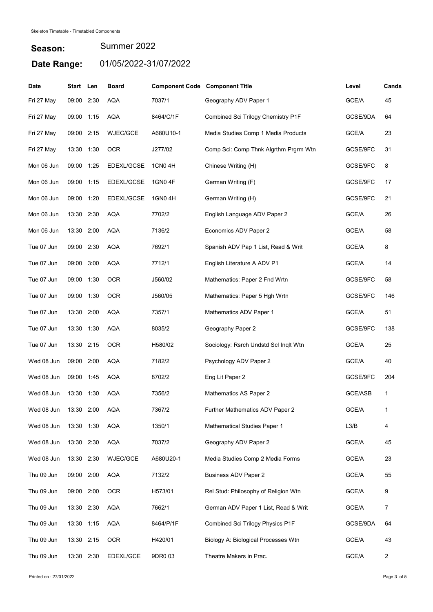| <b>Date</b> | Start Len  |      | <b>Board</b> | <b>Component Code Component Title</b> |                                       | Level    | Cands          |
|-------------|------------|------|--------------|---------------------------------------|---------------------------------------|----------|----------------|
| Fri 27 May  | 09:00 2:30 |      | <b>AQA</b>   | 7037/1                                | Geography ADV Paper 1                 | GCE/A    | 45             |
| Fri 27 May  | 09:00 1:15 |      | <b>AQA</b>   | 8464/C/1F                             | Combined Sci Trilogy Chemistry P1F    | GCSE/9DA | 64             |
| Fri 27 May  | 09:00 2:15 |      | WJEC/GCE     | A680U10-1                             | Media Studies Comp 1 Media Products   | GCE/A    | 23             |
| Fri 27 May  | 13:30      | 1:30 | <b>OCR</b>   | J277/02                               | Comp Sci: Comp Thnk Algrthm Prgrm Wtn | GCSE/9FC | 31             |
| Mon 06 Jun  | 09:00 1:25 |      | EDEXL/GCSE   | 1CN0 4H                               | Chinese Writing (H)                   | GCSE/9FC | 8              |
| Mon 06 Jun  | 09:00      | 1:15 | EDEXL/GCSE   | 1GN0 4F                               | German Writing (F)                    | GCSE/9FC | 17             |
| Mon 06 Jun  | 09:00      | 1:20 | EDEXL/GCSE   | 1GN0 4H                               | German Writing (H)                    | GCSE/9FC | 21             |
| Mon 06 Jun  | 13:30 2:30 |      | <b>AQA</b>   | 7702/2                                | English Language ADV Paper 2          | GCE/A    | 26             |
| Mon 06 Jun  | 13:30 2:00 |      | <b>AQA</b>   | 7136/2                                | Economics ADV Paper 2                 | GCE/A    | 58             |
| Tue 07 Jun  | 09:00 2:30 |      | <b>AQA</b>   | 7692/1                                | Spanish ADV Pap 1 List, Read & Writ   | GCE/A    | 8              |
| Tue 07 Jun  | 09:00      | 3:00 | AQA          | 7712/1                                | English Literature A ADV P1           | GCE/A    | 14             |
| Tue 07 Jun  | 09:00 1:30 |      | <b>OCR</b>   | J560/02                               | Mathematics: Paper 2 Fnd Wrtn         | GCSE/9FC | 58             |
| Tue 07 Jun  | 09:00 1:30 |      | <b>OCR</b>   | J560/05                               | Mathematics: Paper 5 Hgh Wrtn         | GCSE/9FC | 146            |
| Tue 07 Jun  | 13:30 2:00 |      | <b>AQA</b>   | 7357/1                                | Mathematics ADV Paper 1               | GCE/A    | 51             |
| Tue 07 Jun  | 13:30      | 1:30 | <b>AQA</b>   | 8035/2                                | Geography Paper 2                     | GCSE/9FC | 138            |
| Tue 07 Jun  | 13:30 2:15 |      | <b>OCR</b>   | H580/02                               | Sociology: Rsrch Undstd Scl Inglt Wtn | GCE/A    | 25             |
| Wed 08 Jun  | 09:00 2:00 |      | <b>AQA</b>   | 7182/2                                | Psychology ADV Paper 2                | GCE/A    | 40             |
| Wed 08 Jun  | 09:00      | 1:45 | <b>AQA</b>   | 8702/2                                | Eng Lit Paper 2                       | GCSE/9FC | 204            |
| Wed 08 Jun  | 13:30      | 1:30 | <b>AQA</b>   | 7356/2                                | Mathematics AS Paper 2                | GCE/ASB  | 1              |
| Wed 08 Jun  | 13:30 2:00 |      | AQA          | 7367/2                                | Further Mathematics ADV Paper 2       | GCE/A    | $\mathbf{1}$   |
| Wed 08 Jun  | 13:30 1:30 |      | <b>AQA</b>   | 1350/1                                | <b>Mathematical Studies Paper 1</b>   | L3/B     | 4              |
| Wed 08 Jun  | 13:30 2:30 |      | AQA          | 7037/2                                | Geography ADV Paper 2                 | GCE/A    | 45             |
| Wed 08 Jun  | 13:30 2:30 |      | WJEC/GCE     | A680U20-1                             | Media Studies Comp 2 Media Forms      | GCE/A    | 23             |
| Thu 09 Jun  | 09:00 2:00 |      | <b>AQA</b>   | 7132/2                                | <b>Business ADV Paper 2</b>           | GCE/A    | 55             |
| Thu 09 Jun  | 09:00 2:00 |      | <b>OCR</b>   | H573/01                               | Rel Stud: Philosophy of Religion Wtn  | GCE/A    | 9              |
| Thu 09 Jun  | 13:30 2:30 |      | <b>AQA</b>   | 7662/1                                | German ADV Paper 1 List, Read & Writ  | GCE/A    | 7              |
| Thu 09 Jun  | 13:30 1:15 |      | <b>AQA</b>   | 8464/P/1F                             | Combined Sci Trilogy Physics P1F      | GCSE/9DA | 64             |
| Thu 09 Jun  | 13:30 2:15 |      | <b>OCR</b>   | H420/01                               | Biology A: Biological Processes Wtn   | GCE/A    | 43             |
| Thu 09 Jun  | 13:30 2:30 |      | EDEXL/GCE    | 9DR0 03                               | Theatre Makers in Prac.               | GCE/A    | $\overline{c}$ |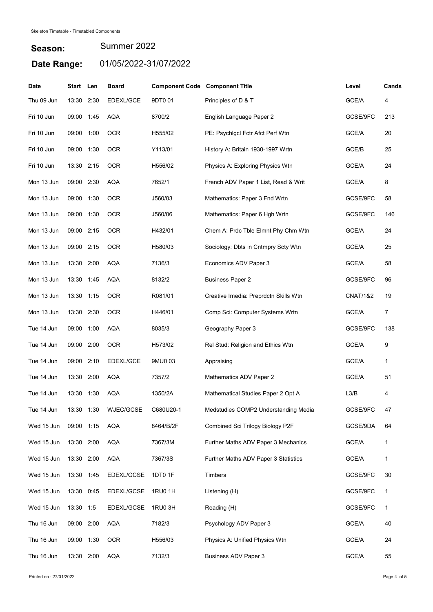| <b>Date</b> | Start Len  |      | <b>Board</b>     | <b>Component Code Component Title</b> |                                       | Level               | Cands          |
|-------------|------------|------|------------------|---------------------------------------|---------------------------------------|---------------------|----------------|
| Thu 09 Jun  | 13:30      | 2:30 | <b>EDEXL/GCE</b> | 9DT001                                | Principles of D & T                   | GCE/A               | 4              |
| Fri 10 Jun  | 09:00 1:45 |      | <b>AQA</b>       | 8700/2                                | English Language Paper 2              | GCSE/9FC            | 213            |
| Fri 10 Jun  | 09:00 1:00 |      | <b>OCR</b>       | H555/02                               | PE: Psychigcl Fctr Afct Perf Wtn      | GCE/A               | 20             |
| Fri 10 Jun  | 09:00 1:30 |      | <b>OCR</b>       | Y113/01                               | History A: Britain 1930-1997 Wrtn     | GCE/B               | 25             |
| Fri 10 Jun  | 13:30 2:15 |      | <b>OCR</b>       | H556/02                               | Physics A: Exploring Physics Wtn      | GCE/A               | 24             |
| Mon 13 Jun  | 09:00 2:30 |      | <b>AQA</b>       | 7652/1                                | French ADV Paper 1 List, Read & Writ  | GCE/A               | 8              |
| Mon 13 Jun  | 09:00 1:30 |      | <b>OCR</b>       | J560/03                               | Mathematics: Paper 3 Fnd Wrtn         | GCSE/9FC            | 58             |
| Mon 13 Jun  | 09:00 1:30 |      | <b>OCR</b>       | J560/06                               | Mathematics: Paper 6 Hgh Wrtn         | GCSE/9FC            | 146            |
| Mon 13 Jun  | 09:00 2:15 |      | <b>OCR</b>       | H432/01                               | Chem A: Prdc Tble Elmnt Phy Chm Wtn   | GCE/A               | 24             |
| Mon 13 Jun  | 09:00 2:15 |      | <b>OCR</b>       | H580/03                               | Sociology: Dbts in Cntmpry Scty Wtn   | GCE/A               | 25             |
| Mon 13 Jun  | 13:30      | 2:00 | AQA              | 7136/3                                | Economics ADV Paper 3                 | GCE/A               | 58             |
| Mon 13 Jun  | 13:30 1:45 |      | <b>AQA</b>       | 8132/2                                | <b>Business Paper 2</b>               | GCSE/9FC            | 96             |
| Mon 13 Jun  | 13:30 1:15 |      | <b>OCR</b>       | R081/01                               | Creative Imedia: Preprdctn Skills Wtn | <b>CNAT/1&amp;2</b> | 19             |
| Mon 13 Jun  | 13:30 2:30 |      | <b>OCR</b>       | H446/01                               | Comp Sci: Computer Systems Wrtn       | GCE/A               | $\overline{7}$ |
| Tue 14 Jun  | 09:00 1:00 |      | <b>AQA</b>       | 8035/3                                | Geography Paper 3                     | GCSE/9FC            | 138            |
| Tue 14 Jun  | 09:00 2:00 |      | <b>OCR</b>       | H573/02                               | Rel Stud: Religion and Ethics Wtn     | GCE/A               | 9              |
| Tue 14 Jun  | 09:00      | 2:10 | EDEXL/GCE        | 9MU0 03                               | Appraising                            | GCE/A               | 1              |
| Tue 14 Jun  | 13:30      | 2:00 | <b>AQA</b>       | 7357/2                                | Mathematics ADV Paper 2               | GCE/A               | 51             |
| Tue 14 Jun  | 13:30      | 1:30 | <b>AQA</b>       | 1350/2A                               | Mathematical Studies Paper 2 Opt A    | L3/B                | 4              |
| Tue 14 Jun  | 13:30 1:30 |      | WJEC/GCSE        | C680U20-1                             | Medstudies COMP2 Understanding Media  | GCSE/9FC            | 47             |
| Wed 15 Jun  | 09:00 1:15 |      | <b>AQA</b>       | 8464/B/2F                             | Combined Sci Trilogy Biology P2F      | GCSE/9DA            | 64             |
| Wed 15 Jun  | 13:30 2:00 |      | AQA              | 7367/3M                               | Further Maths ADV Paper 3 Mechanics   | GCE/A               | 1              |
| Wed 15 Jun  | 13:30 2:00 |      | <b>AQA</b>       | 7367/3S                               | Further Maths ADV Paper 3 Statistics  | GCE/A               | 1              |
| Wed 15 Jun  | 13:30 1:45 |      | EDEXL/GCSE       | 1DT0 1F                               | Timbers                               | GCSE/9FC            | 30             |
| Wed 15 Jun  | 13:30 0:45 |      | EDEXL/GCSE       | 1RU0 1H                               | Listening (H)                         | GCSE/9FC            | 1              |
| Wed 15 Jun  | 13:30 1:5  |      | EDEXL/GCSE       | 1RU0 3H                               | Reading (H)                           | GCSE/9FC            | $\mathbf{1}$   |
| Thu 16 Jun  | 09:00 2:00 |      | <b>AQA</b>       | 7182/3                                | Psychology ADV Paper 3                | GCE/A               | 40             |
| Thu 16 Jun  | 09:00 1:30 |      | <b>OCR</b>       | H556/03                               | Physics A: Unified Physics Wtn        | GCE/A               | 24             |
| Thu 16 Jun  | 13:30 2:00 |      | AQA              | 7132/3                                | <b>Business ADV Paper 3</b>           | GCE/A               | 55             |